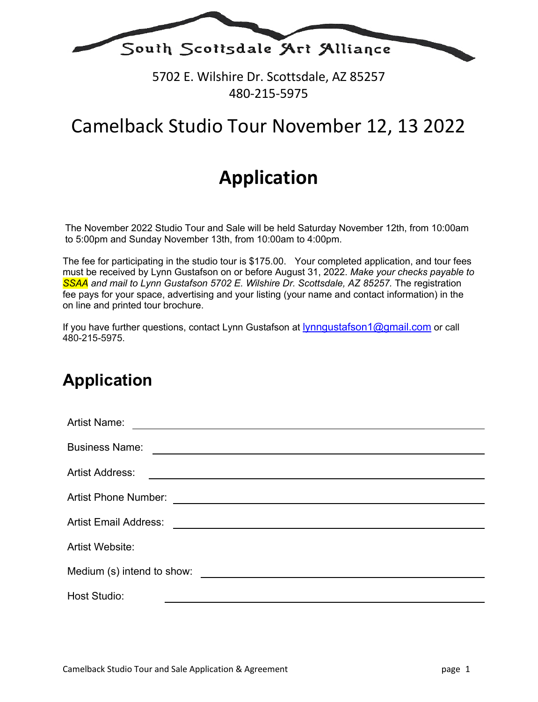

5702 E. Wilshire Dr. Scottsdale, AZ 85257 480-215-5975

## Camelback Studio Tour November 12, 13 2022

# **Application**

The November 2022 Studio Tour and Sale will be held Saturday November 12th, from 10:00am to 5:00pm and Sunday November 13th, from 10:00am to 4:00pm.

The fee for participating in the studio tour is \$175.00. Your completed application, and tour fees must be received by Lynn Gustafson on or before August 31, 2022. *Make your checks payable to*  **SSAA** and mail to Lynn Gustafson 5702 E. Wilshire Dr. Scottsdale, AZ 85257. The registration fee pays for your space, advertising and your listing (your name and contact information) in the on line and printed tour brochure.

If you have further questions, contact Lynn Gustafson at lynngustafson1@gmail.com or call 480-215-5975.

### **Application**

| <b>Artist Name:</b>                                                                                                                            |  |  |
|------------------------------------------------------------------------------------------------------------------------------------------------|--|--|
| <b>Business Name:</b><br><u> 1989 - Johann Stein, marwolaethau a bhann an t-Amhain Aonaich an t-Amhain Aonaich an t-Amhain Aonaich an t-A</u>  |  |  |
| <b>Artist Address:</b><br><u> 1980 - Jan Barat, amerikan bahasa perang berasal di bagian perang berasal di bagian di bagian di bagian di b</u> |  |  |
| <b>Artist Phone Number:</b><br><u> 1989 - Johann Stein, mars an t-Amerikaansk kommunister (</u>                                                |  |  |
| <b>Artist Email Address:</b><br><u> 1989 - Johann Barnett, fransk politiker (d. 1989)</u>                                                      |  |  |
| Artist Website:                                                                                                                                |  |  |
| Medium (s) intend to show:<br><u> 1980 - Jan Samuel Barbara, margaret eta idazlea (h. 1980).</u>                                               |  |  |
| <b>Host Studio:</b>                                                                                                                            |  |  |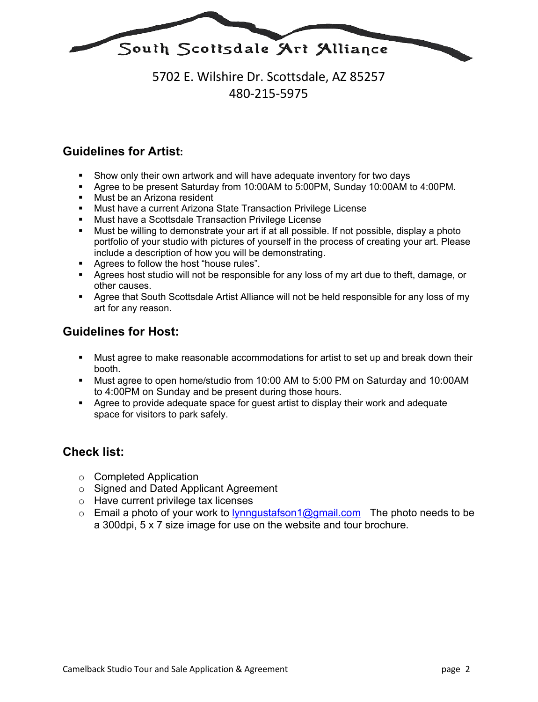

### 5702 E. Wilshire Dr. Scottsdale, AZ 85257 480-215-5975

#### **Guidelines for Artist:**

- § Show only their own artwork and will have adequate inventory for two days
- § Agree to be present Saturday from 10:00AM to 5:00PM, Sunday 10:00AM to 4:00PM.
- Must be an Arizona resident
- § Must have a current Arizona State Transaction Privilege License
- § Must have a Scottsdale Transaction Privilege License
- Must be willing to demonstrate your art if at all possible. If not possible, display a photo portfolio of your studio with pictures of yourself in the process of creating your art. Please include a description of how you will be demonstrating.
- Agrees to follow the host "house rules".
- § Agrees host studio will not be responsible for any loss of my art due to theft, damage, or other causes.
- Agree that South Scottsdale Artist Alliance will not be held responsible for any loss of my art for any reason.

#### **Guidelines for Host:**

- § Must agree to make reasonable accommodations for artist to set up and break down their booth.
- § Must agree to open home/studio from 10:00 AM to 5:00 PM on Saturday and 10:00AM to 4:00PM on Sunday and be present during those hours.
- § Agree to provide adequate space for guest artist to display their work and adequate space for visitors to park safely.

#### **Check list:**

- o Completed Application
- o Signed and Dated Applicant Agreement
- o Have current privilege tax licenses
- $\circ$  Email a photo of your work to lynngustafson1@gmail.com The photo needs to be a 300dpi, 5 x 7 size image for use on the website and tour brochure.